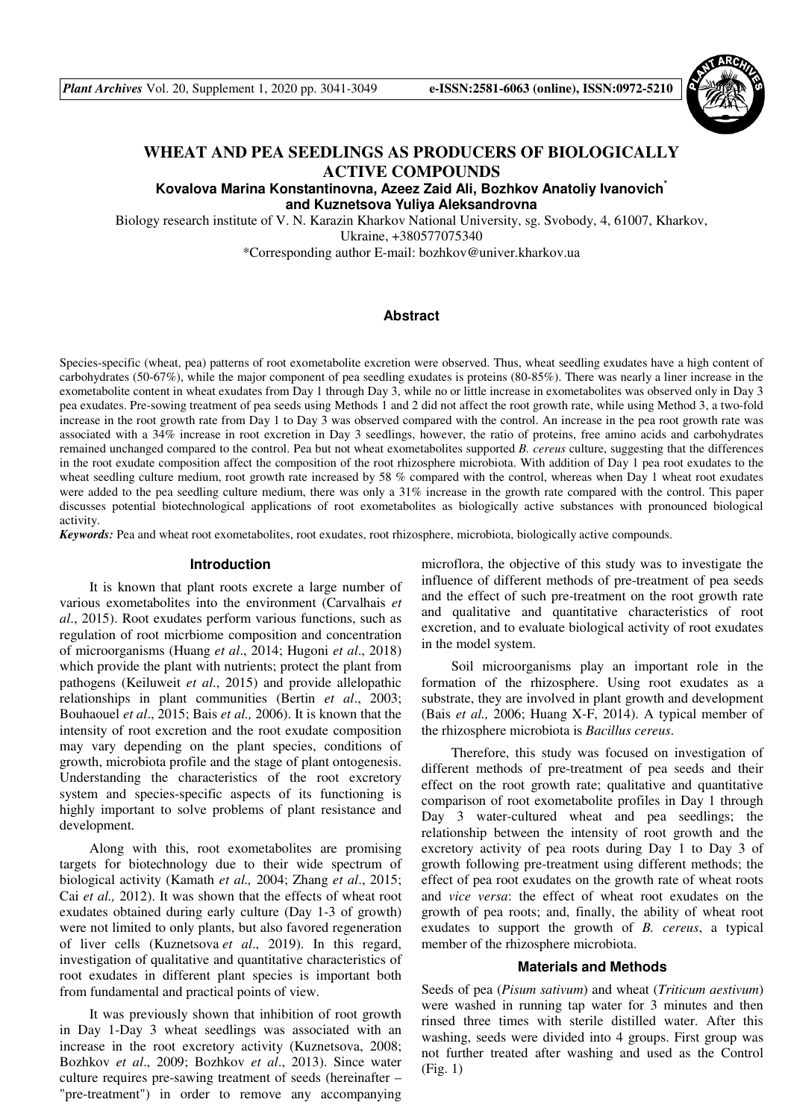*Plant Archives* Vol. 20, Supplement 1, 2020 pp. 3041-3049 **e-ISSN:2581-6063 (online), ISSN:0972-5210**



# **WHEAT AND PEA SEEDLINGS AS PRODUCERS OF BIOLOGICALLY ACTIVE COMPOUNDS**

**Kovalova Marina Konstantinovna, Azeez Zaid Ali, Bozhkov Anatoliy Ivanovich\* and Kuznetsova Yuliya Aleksandrovna**

Biology research institute of V. N. Karazin Kharkov National University, sg. Svobody, 4, 61007, Kharkov, Ukraine, +380577075340

\*Corresponding author E-mail: bozhkov@univer.kharkov.ua

#### **Abstract**

Species-specific (wheat, pea) patterns of root exometabolite excretion were observed. Thus, wheat seedling exudates have a high content of carbohydrates (50-67%), while the major component of pea seedling exudates is proteins (80-85%). There was nearly a liner increase in the exometabolite content in wheat exudates from Day 1 through Day 3, while no or little increase in exometabolites was observed only in Day 3 pea exudates. Pre-sowing treatment of pea seeds using Methods 1 and 2 did not affect the root growth rate, while using Method 3, a two-fold increase in the root growth rate from Day 1 to Day 3 was observed compared with the control. An increase in the pea root growth rate was associated with a 34% increase in root excretion in Day 3 seedlings, however, the ratio of proteins, free amino acids and carbohydrates remained unchanged compared to the control. Pea but not wheat exometabolites supported *B. cereus* culture, suggesting that the differences in the root exudate composition affect the composition of the root rhizosphere microbiota. With addition of Day 1 pea root exudates to the wheat seedling culture medium, root growth rate increased by 58 % compared with the control, whereas when Day 1 wheat root exudates were added to the pea seedling culture medium, there was only a 31% increase in the growth rate compared with the control. This paper discusses potential biotechnological applications of root exometabolites as biologically active substances with pronounced biological activity.

*Keywords:* Pea and wheat root exometabolites, root exudates, root rhizosphere, microbiota, biologically active compounds.

#### **Introduction**

It is known that plant roots excrete a large number of various exometabolites into the environment (Carvalhais *et al*., 2015). Root exudates perform various functions, such as regulation of root micrbiome composition and concentration of microorganisms (Huang *et al*., 2014; Hugoni *et al*., 2018) which provide the plant with nutrients; protect the plant from pathogens (Keiluweit *et al*., 2015) and provide allelopathic relationships in plant communities (Bertin *et al*., 2003; Bouhaouel *et al*., 2015; Bais *et al.,* 2006). It is known that the intensity of root excretion and the root exudate composition may vary depending on the plant species, conditions of growth, microbiota profile and the stage of plant ontogenesis. Understanding the characteristics of the root excretory system and species-specific aspects of its functioning is highly important to solve problems of plant resistance and development.

Along with this, root exometabolites are promising targets for biotechnology due to their wide spectrum of biological activity (Kamath *et al.,* 2004; Zhang *et al*., 2015; Cai *et al.,* 2012). It was shown that the effects of wheat root exudates obtained during early culture (Day 1-3 of growth) were not limited to only plants, but also favored regeneration of liver cells (Kuznetsova *et al*., 2019). In this regard, investigation of qualitative and quantitative characteristics of root exudates in different plant species is important both from fundamental and practical points of view.

It was previously shown that inhibition of root growth in Day 1-Day 3 wheat seedlings was associated with an increase in the root excretory activity (Kuznetsova, 2008; Bozhkov *et al*., 2009; Bozhkov *et al*., 2013). Since water culture requires pre-sawing treatment of seeds (hereinafter – "pre-treatment") in order to remove any accompanying

microflora, the objective of this study was to investigate the influence of different methods of pre-treatment of pea seeds and the effect of such pre-treatment on the root growth rate and qualitative and quantitative characteristics of root excretion, and to evaluate biological activity of root exudates in the model system.

Soil microorganisms play an important role in the formation of the rhizosphere. Using root exudates as a substrate, they are involved in plant growth and development (Bais *et al.,* 2006; Huang X-F, 2014). A typical member of the rhizosphere microbiota is *Bacillus cereus*.

Therefore, this study was focused on investigation of different methods of pre-treatment of pea seeds and their effect on the root growth rate; qualitative and quantitative comparison of root exometabolite profiles in Day 1 through Day 3 water-cultured wheat and pea seedlings; the relationship between the intensity of root growth and the excretory activity of pea roots during Day 1 to Day 3 of growth following pre-treatment using different methods; the effect of pea root exudates on the growth rate of wheat roots and *vice versa*: the effect of wheat root exudates on the growth of pea roots; and, finally, the ability of wheat root exudates to support the growth of *B. cereus*, a typical member of the rhizosphere microbiota.

#### **Materials and Methods**

Seeds of pea (*Pisum sativum*) and wheat (*Triticum aestivum*) were washed in running tap water for 3 minutes and then rinsed three times with sterile distilled water. After this washing, seeds were divided into 4 groups. First group was not further treated after washing and used as the Control (Fig. 1)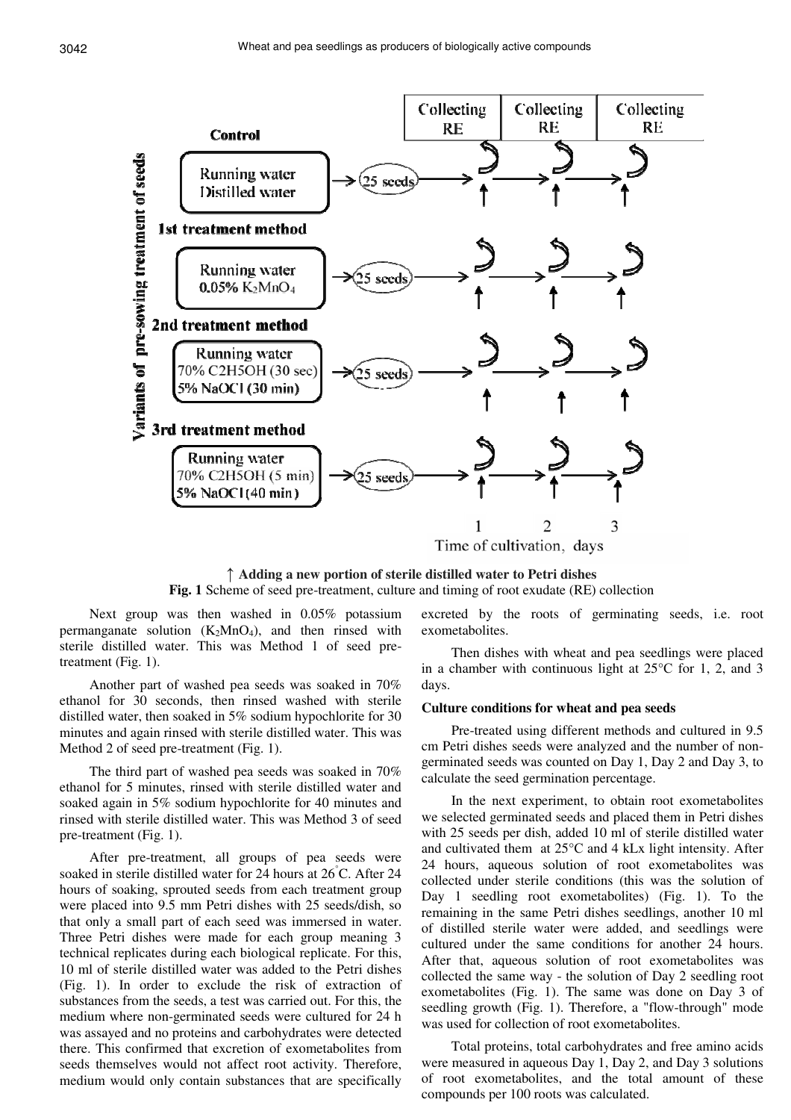

↑ **Adding a new portion of sterile distilled water to Petri dishes Fig. 1** Scheme of seed pre-treatment, culture and timing of root exudate (RE) collection

Next group was then washed in 0.05% potassium permanganate solution  $(K_2MnO_4)$ , and then rinsed with sterile distilled water. This was Method 1 of seed pretreatment (Fig. 1).

Another part of washed pea seeds was soaked in 70% ethanol for 30 seconds, then rinsed washed with sterile distilled water, then soaked in 5% sodium hypochlorite for 30 minutes and again rinsed with sterile distilled water. This was Method 2 of seed pre-treatment (Fig. 1).

The third part of washed pea seeds was soaked in 70% ethanol for 5 minutes, rinsed with sterile distilled water and soaked again in 5% sodium hypochlorite for 40 minutes and rinsed with sterile distilled water. This was Method 3 of seed pre-treatment (Fig. 1).

After pre-treatment, all groups of pea seeds were soaked in sterile distilled water for 24 hours at 26°C. After 24 hours of soaking, sprouted seeds from each treatment group were placed into 9.5 mm Petri dishes with 25 seeds/dish, so that only a small part of each seed was immersed in water. Three Petri dishes were made for each group meaning 3 technical replicates during each biological replicate. For this, 10 ml of sterile distilled water was added to the Petri dishes (Fig. 1). In order to exclude the risk of extraction of substances from the seeds, a test was carried out. For this, the medium where non-germinated seeds were cultured for 24 h was assayed and no proteins and carbohydrates were detected there. This confirmed that excretion of exometabolites from seeds themselves would not affect root activity. Therefore, medium would only contain substances that are specifically

excreted by the roots of germinating seeds, i.e. root exometabolites.

Then dishes with wheat and pea seedlings were placed in a chamber with continuous light at 25°С for 1, 2, and 3 days.

#### **Culture conditions for wheat and pea seeds**

Pre-treated using different methods and cultured in 9.5 cm Petri dishes seeds were analyzed and the number of nongerminated seeds was counted on Day 1, Day 2 and Day 3, to calculate the seed germination percentage.

In the next experiment, to obtain root exometabolites we selected germinated seeds and placed them in Petri dishes with 25 seeds per dish, added 10 ml of sterile distilled water and cultivated them at 25°С and 4 kLx light intensity. After 24 hours, aqueous solution of root exometabolites was collected under sterile conditions (this was the solution of Day 1 seedling root exometabolites) (Fig. 1). To the remaining in the same Petri dishes seedlings, another 10 ml of distilled sterile water were added, and seedlings were cultured under the same conditions for another 24 hours. After that, aqueous solution of root exometabolites was collected the same way - the solution of Day 2 seedling root exometabolites (Fig. 1). The same was done on Day 3 of seedling growth (Fig. 1). Therefore, a "flow-through" mode was used for collection of root exometabolites.

Total proteins, total carbohydrates and free amino acids were measured in aqueous Day 1, Day 2, and Day 3 solutions of root exometabolites, and the total amount of these compounds per 100 roots was calculated.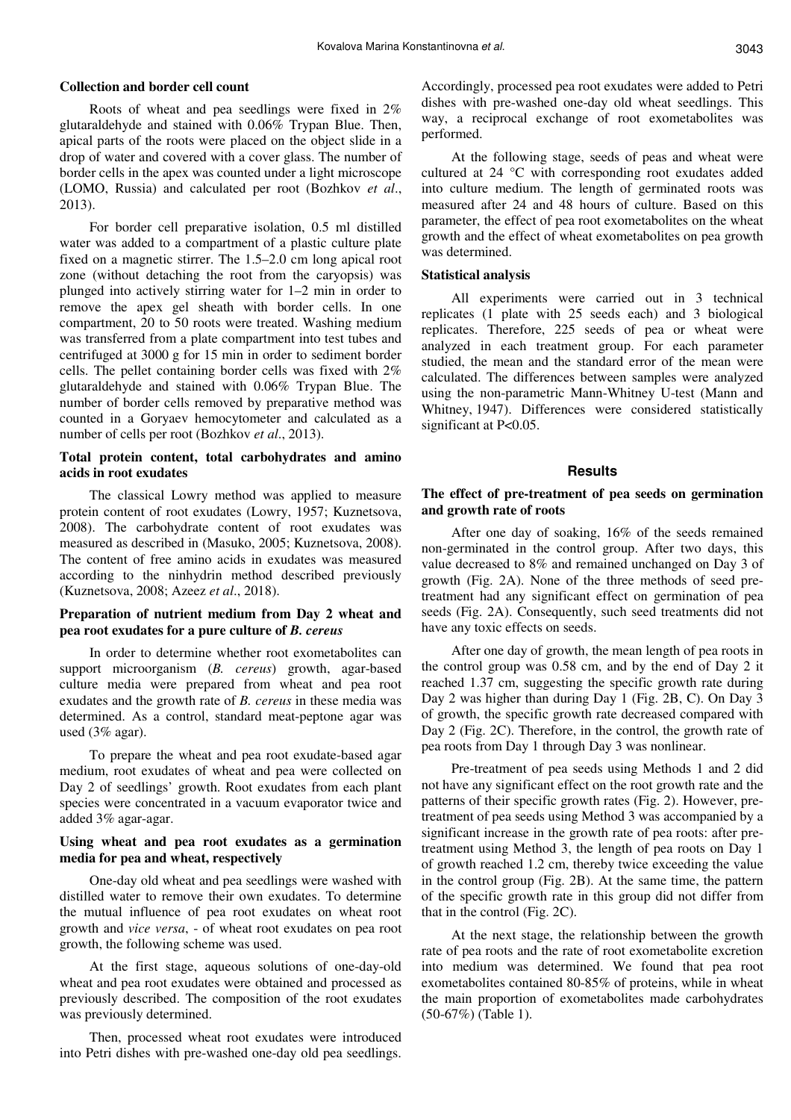## **Collection and border cell count**

Roots of wheat and pea seedlings were fixed in 2% glutaraldehyde and stained with 0.06% Trypan Blue. Then, apical parts of the roots were placed on the object slide in a drop of water and covered with a cover glass. The number of border cells in the apex was counted under a light microscope (LOMO, Russia) and calculated per root (Bozhkov *et al*., 2013).

For border cell preparative isolation, 0.5 ml distilled water was added to a compartment of a plastic culture plate fixed on a magnetic stirrer. The 1.5–2.0 cm long apical root zone (without detaching the root from the caryopsis) was plunged into actively stirring water for 1–2 min in order to remove the apex gel sheath with border cells. In one compartment, 20 to 50 roots were treated. Washing medium was transferred from a plate compartment into test tubes and centrifuged at 3000 g for 15 min in order to sediment border cells. The pellet containing border cells was fixed with 2% glutaraldehyde and stained with 0.06% Trypan Blue. The number of border cells removed by preparative method was counted in a Goryaev hemocytometer and calculated as a number of cells per root (Bozhkov *et al*., 2013).

#### **Total protein content, total carbohydrates and amino acids in root exudates**

The classical Lowry method was applied to measure protein content of root exudates (Lowry, 1957; Kuznetsova, 2008). The carbohydrate content of root exudates was measured as described in (Masuko, 2005; Kuznetsova, 2008). The content of free amino acids in exudates was measured according to the ninhydrin method described previously (Kuznetsova, 2008; Azeez *et al*., 2018).

## **Preparation of nutrient medium from Day 2 wheat and pea root exudates for a pure culture of** *B. cereus*

In order to determine whether root exometabolites can support microorganism (*B. cereus*) growth, agar-based culture media were prepared from wheat and pea root exudates and the growth rate of *B. cereus* in these media was determined. As a control, standard meat-peptone agar was used (3% agar).

To prepare the wheat and pea root exudate-based agar medium, root exudates of wheat and pea were collected on Day 2 of seedlings' growth. Root exudates from each plant species were concentrated in a vacuum evaporator twice and added 3% agar-agar.

## **Using wheat and pea root exudates as a germination media for pea and wheat, respectively**

One-day old wheat and pea seedlings were washed with distilled water to remove their own exudates. To determine the mutual influence of pea root exudates on wheat root growth and *vice versa*, - of wheat root exudates on pea root growth, the following scheme was used.

At the first stage, aqueous solutions of one-day-old wheat and pea root exudates were obtained and processed as previously described. The composition of the root exudates was previously determined.

Then, processed wheat root exudates were introduced into Petri dishes with pre-washed one-day old pea seedlings. Accordingly, processed pea root exudates were added to Petri dishes with pre-washed one-day old wheat seedlings. This way, a reciprocal exchange of root exometabolites was performed.

At the following stage, seeds of peas and wheat were cultured at 24 °C with corresponding root exudates added into culture medium. The length of germinated roots was measured after 24 and 48 hours of culture. Based on this parameter, the effect of pea root exometabolites on the wheat growth and the effect of wheat exometabolites on pea growth was determined.

#### **Statistical analysis**

All experiments were carried out in 3 technical replicates (1 plate with 25 seeds each) and 3 biological replicates. Therefore, 225 seeds of pea or wheat were analyzed in each treatment group. For each parameter studied, the mean and the standard error of the mean were calculated. The differences between samples were analyzed using the non-parametric Mann-Whitney U-test (Mann and Whitney, 1947). Differences were considered statistically significant at P<0.05.

#### **Results**

#### **The effect of pre-treatment of pea seeds on germination and growth rate of roots**

After one day of soaking, 16% of the seeds remained non-germinated in the control group. After two days, this value decreased to 8% and remained unchanged on Day 3 of growth (Fig. 2A). None of the three methods of seed pretreatment had any significant effect on germination of pea seeds (Fig. 2A). Consequently, such seed treatments did not have any toxic effects on seeds.

After one day of growth, the mean length of pea roots in the control group was 0.58 cm, and by the end of Day 2 it reached 1.37 cm, suggesting the specific growth rate during Day 2 was higher than during Day 1 (Fig. 2B, C). On Day 3 of growth, the specific growth rate decreased compared with Day 2 (Fig. 2C). Therefore, in the control, the growth rate of pea roots from Day 1 through Day 3 was nonlinear.

Pre-treatment of pea seeds using Methods 1 and 2 did not have any significant effect on the root growth rate and the patterns of their specific growth rates (Fig. 2). However, pretreatment of pea seeds using Method 3 was accompanied by a significant increase in the growth rate of pea roots: after pretreatment using Method 3, the length of pea roots on Day 1 of growth reached 1.2 cm, thereby twice exceeding the value in the control group (Fig. 2B). At the same time, the pattern of the specific growth rate in this group did not differ from that in the control (Fig. 2C).

At the next stage, the relationship between the growth rate of pea roots and the rate of root exometabolite excretion into medium was determined. We found that pea root exometabolites contained 80-85% of proteins, while in wheat the main proportion of exometabolites made carbohydrates (50-67%) (Table 1).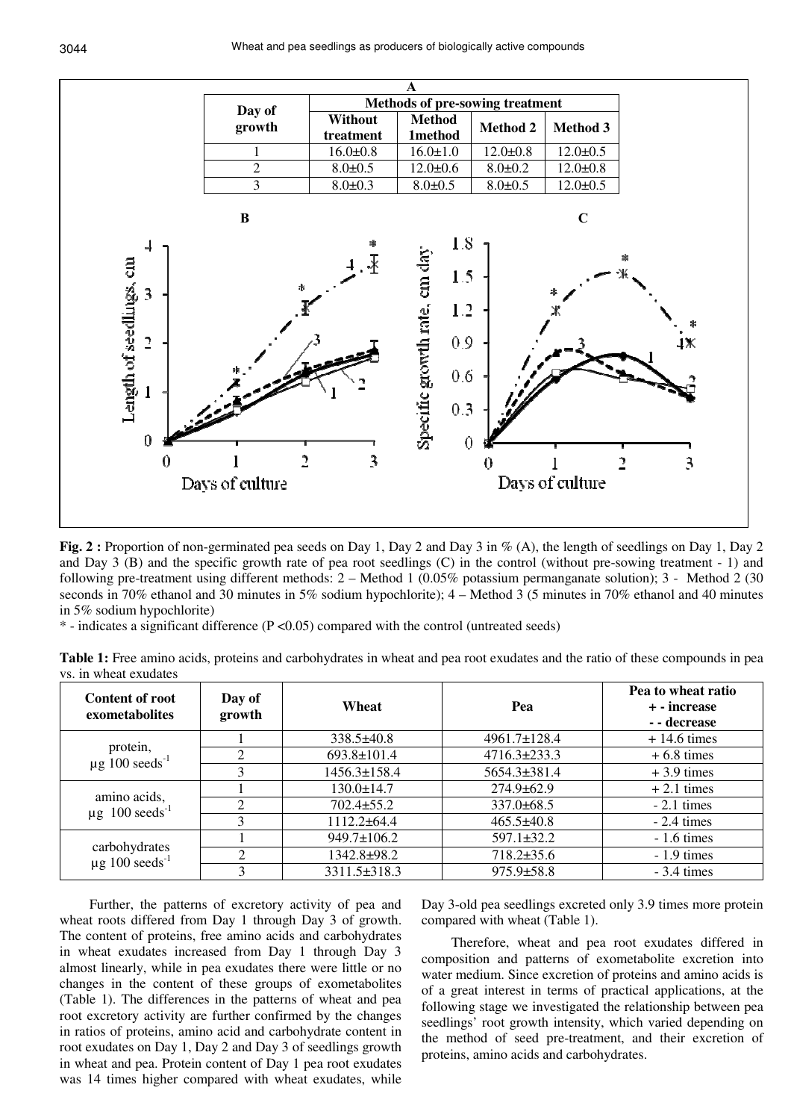

**Fig. 2 :** Proportion of non-germinated pea seeds on Day 1, Day 2 and Day 3 in % (A), the length of seedlings on Day 1, Day 2 and Day 3 (B) and the specific growth rate of pea root seedlings (C) in the control (without pre-sowing treatment - 1) and following pre-treatment using different methods: 2 – Method 1 (0.05% potassium permanganate solution); 3 - Method 2 (30 seconds in 70% ethanol and 30 minutes in 5% sodium hypochlorite); 4 – Method 3 (5 minutes in 70% ethanol and 40 minutes in 5% sodium hypochlorite)

 $*$  - indicates a significant difference ( $P < 0.05$ ) compared with the control (untreated seeds)

**Table 1:** Free amino acids, proteins and carbohydrates in wheat and pea root exudates and the ratio of these compounds in pea vs. in wheat exudates

| <b>Content of root</b><br>exometabolites         | Day of<br>growth | Wheat             | Pea                | Pea to wheat ratio<br>+ - increase<br>- - decrease |
|--------------------------------------------------|------------------|-------------------|--------------------|----------------------------------------------------|
| protein,<br>$\mu$ g 100 seeds <sup>-1</sup>      |                  | $338.5\pm40.8$    | $4961.7 \pm 128.4$ | $+14.6$ times                                      |
|                                                  |                  | $693.8 \pm 101.4$ | $4716.3 \pm 233.3$ | $+6.8 \times$                                      |
|                                                  |                  | 1456.3±158.4      | 5654.3±381.4       | $+3.9$ times                                       |
| amino acids,<br>$\mu$ g 100 seeds <sup>-1</sup>  |                  | $130.0 \pm 14.7$  | $274.9 \pm 62.9$   | $+2.1$ times                                       |
|                                                  |                  | $702.4 \pm 55.2$  | $337.0 \pm 68.5$   | $-2.1 \text{ times}$                               |
|                                                  |                  | $1112.2 \pm 64.4$ | $465.5 \pm 40.8$   | $-2.4 \times$                                      |
| carbohydrates<br>$\mu$ g 100 seeds <sup>-1</sup> |                  | 949.7±106.2       | $597.1 \pm 32.2$   | $-1.6 \text{ times}$                               |
|                                                  |                  | 1342.8±98.2       | $718.2 \pm 35.6$   | $-1.9$ times                                       |
|                                                  |                  | 3311.5±318.3      | $975.9 \pm 58.8$   | $-3.4 \times$                                      |

Further, the patterns of excretory activity of pea and wheat roots differed from Day 1 through Day 3 of growth. The content of proteins, free amino acids and carbohydrates in wheat exudates increased from Day 1 through Day 3 almost linearly, while in pea exudates there were little or no changes in the content of these groups of exometabolites (Table 1). The differences in the patterns of wheat and pea root excretory activity are further confirmed by the changes in ratios of proteins, amino acid and carbohydrate content in root exudates on Day 1, Day 2 and Day 3 of seedlings growth in wheat and pea. Protein content of Day 1 pea root exudates was 14 times higher compared with wheat exudates, while

Day 3-old pea seedlings excreted only 3.9 times more protein compared with wheat (Table 1).

Therefore, wheat and pea root exudates differed in composition and patterns of exometabolite excretion into water medium. Since excretion of proteins and amino acids is of a great interest in terms of practical applications, at the following stage we investigated the relationship between pea seedlings' root growth intensity, which varied depending on the method of seed pre-treatment, and their excretion of proteins, amino acids and carbohydrates.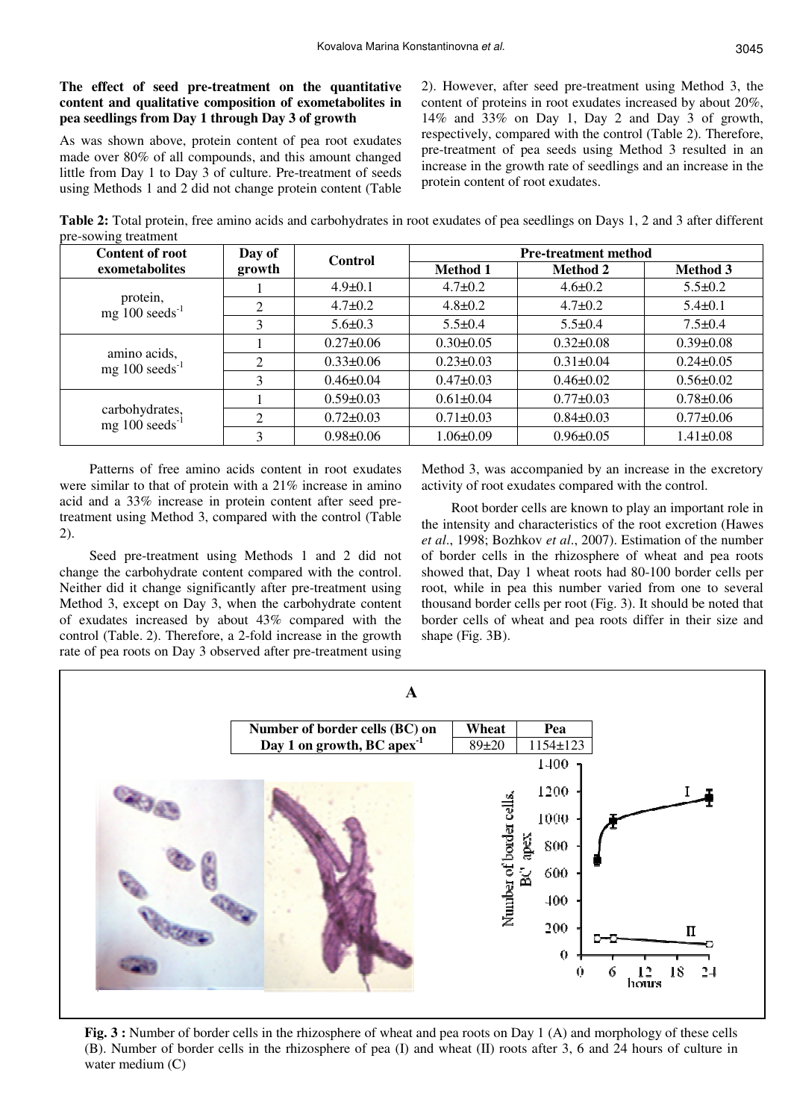## **The effect of seed pre-treatment on the quantitative content and qualitative composition of exometabolites in pea seedlings from Day 1 through Day 3 of growth**

As was shown above, protein content of pea root exudates made over 80% of all compounds, and this amount changed little from Day 1 to Day 3 of culture. Pre-treatment of seeds using Methods 1 and 2 did not change protein content (Table 2). However, after seed pre-treatment using Method 3, the content of proteins in root exudates increased by about 20%, 14% and 33% on Day 1, Day 2 and Day 3 of growth, respectively, compared with the control (Table 2). Therefore, pre-treatment of pea seeds using Method 3 resulted in an increase in the growth rate of seedlings and an increase in the protein content of root exudates.

**Table 2:** Total protein, free amino acids and carbohydrates in root exudates of pea seedlings on Days 1, 2 and 3 after different pre-sowing treatment

| <b>Content of root</b>                        | Day of<br>growth            | <b>Control</b>  | <b>Pre-treatment method</b> |                 |                 |
|-----------------------------------------------|-----------------------------|-----------------|-----------------------------|-----------------|-----------------|
| exometabolites                                |                             |                 | <b>Method 1</b>             | <b>Method 2</b> | <b>Method</b> 3 |
| protein,<br>mg $100 \text{ seeds}^{-1}$       |                             | $4.9 \pm 0.1$   | $4.7 \pm 0.2$               | $4.6 \pm 0.2$   | $5.5 \pm 0.2$   |
|                                               | 2                           | $4.7 \pm 0.2$   | $4.8 \pm 0.2$               | $4.7 \pm 0.2$   | $5.4 \pm 0.1$   |
|                                               | 3                           | $5.6 \pm 0.3$   | $5.5 \pm 0.4$               | $5.5 \pm 0.4$   | $7.5 \pm 0.4$   |
| amino acids,<br>mg $100 \text{ seeds}^{-1}$   |                             | $0.27 \pm 0.06$ | $0.30 \pm 0.05$             | $0.32 \pm 0.08$ | $0.39 \pm 0.08$ |
|                                               | $\mathcal{D}_{\mathcal{L}}$ | $0.33 \pm 0.06$ | $0.23 \pm 0.03$             | $0.31 \pm 0.04$ | $0.24 \pm 0.05$ |
|                                               | 3                           | $0.46 \pm 0.04$ | $0.47 \pm 0.03$             | $0.46 \pm 0.02$ | $0.56 \pm 0.02$ |
|                                               |                             | $0.59 \pm 0.03$ | $0.61 \pm 0.04$             | $0.77 \pm 0.03$ | $0.78 \pm 0.06$ |
| carbohydrates,<br>mg $100 \text{ seeds}^{-1}$ | 2                           | $0.72 \pm 0.03$ | $0.71 \pm 0.03$             | $0.84 \pm 0.03$ | $0.77 \pm 0.06$ |
|                                               |                             | $0.98 \pm 0.06$ | $1.06 \pm 0.09$             | $0.96 \pm 0.05$ | $1.41 \pm 0.08$ |

Patterns of free amino acids content in root exudates were similar to that of protein with a 21% increase in amino acid and a 33% increase in protein content after seed pretreatment using Method 3, compared with the control (Table 2).

Seed pre-treatment using Methods 1 and 2 did not change the carbohydrate content compared with the control. Neither did it change significantly after pre-treatment using Method 3, except on Day 3, when the carbohydrate content of exudates increased by about 43% compared with the control (Table. 2). Therefore, a 2-fold increase in the growth rate of pea roots on Day 3 observed after pre-treatment using Method 3, was accompanied by an increase in the excretory activity of root exudates compared with the control.

Root border cells are known to play an important role in the intensity and characteristics of the root excretion (Hawes *et al*., 1998; Bozhkov *et al*., 2007). Estimation of the number of border cells in the rhizosphere of wheat and pea roots showed that, Day 1 wheat roots had 80-100 border cells per root, while in pea this number varied from one to several thousand border cells per root (Fig. 3). It should be noted that border cells of wheat and pea roots differ in their size and shape (Fig. 3B).



**Fig. 3 :** Number of border cells in the rhizosphere of wheat and pea roots on Day 1 (A) and morphology of these cells (B). Number of border cells in the rhizosphere of pea (I) and wheat (II) roots after 3, 6 and 24 hours of culture in water medium (C)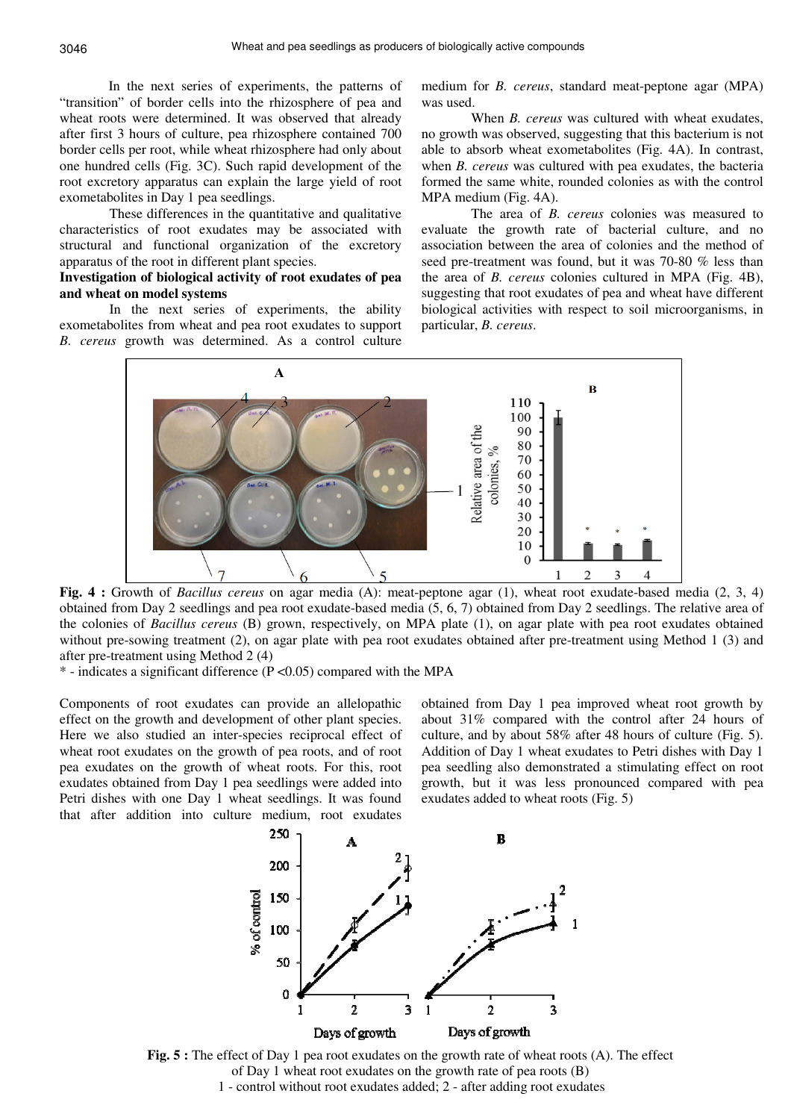In the next series of experiments, the patterns of "transition" of border cells into the rhizosphere of pea and wheat roots were determined. It was observed that already after first 3 hours of culture, pea rhizosphere contained 700 border cells per root, while wheat rhizosphere had only about one hundred cells (Fig. 3C). Such rapid development of the root excretory apparatus can explain the large yield of root exometabolites in Day 1 pea seedlings.

These differences in the quantitative and qualitative characteristics of root exudates may be associated with structural and functional organization of the excretory apparatus of the root in different plant species.

## **Investigation of biological activity of root exudates of pea and wheat on model systems**

In the next series of experiments, the ability exometabolites from wheat and pea root exudates to support *B. cereus* growth was determined. As a control culture medium for *B. cereus*, standard meat-peptone agar (MPA) was used.

When *B. cereus* was cultured with wheat exudates, no growth was observed, suggesting that this bacterium is not able to absorb wheat exometabolites (Fig. 4A). In contrast, when *B. cereus* was cultured with pea exudates, the bacteria formed the same white, rounded colonies as with the control MPA medium (Fig. 4A).

The area of *B. cereus* colonies was measured to evaluate the growth rate of bacterial culture, and no association between the area of colonies and the method of seed pre-treatment was found, but it was 70-80 % less than the area of *B. cereus* colonies cultured in MPA (Fig. 4B), suggesting that root exudates of pea and wheat have different biological activities with respect to soil microorganisms, in particular, *B. cereus*.



**Fig. 4 :** Growth of *Bacillus cereus* on agar media (A): meat-peptone agar (1), wheat root exudate-based media (2, 3, 4) obtained from Day 2 seedlings and pea root exudate-based media (5, 6, 7) obtained from Day 2 seedlings. The relative area of the colonies of *Bacillus cereus* (B) grown, respectively, on MPA plate (1), on agar plate with pea root exudates obtained without pre-sowing treatment (2), on agar plate with pea root exudates obtained after pre-treatment using Method 1 (3) and after pre-treatment using Method 2 (4)

 $*$  - indicates a significant difference (P < 0.05) compared with the MPA

Components of root exudates can provide an allelopathic effect on the growth and development of other plant species. Here we also studied an inter-species reciprocal effect of wheat root exudates on the growth of pea roots, and of root pea exudates on the growth of wheat roots. For this, root exudates obtained from Day 1 pea seedlings were added into Petri dishes with one Day 1 wheat seedlings. It was found that after addition into culture medium, root exudates

obtained from Day 1 pea improved wheat root growth by about 31% compared with the control after 24 hours of culture, and by about 58% after 48 hours of culture (Fig. 5). Addition of Day 1 wheat exudates to Petri dishes with Day 1 pea seedling also demonstrated a stimulating effect on root growth, but it was less pronounced compared with pea exudates added to wheat roots (Fig. 5)



**Fig. 5 :** The effect of Day 1 pea root exudates on the growth rate of wheat roots (A). The effect of Day 1 wheat root exudates on the growth rate of pea roots (B) 1 - control without root exudates added; 2 - after adding root exudates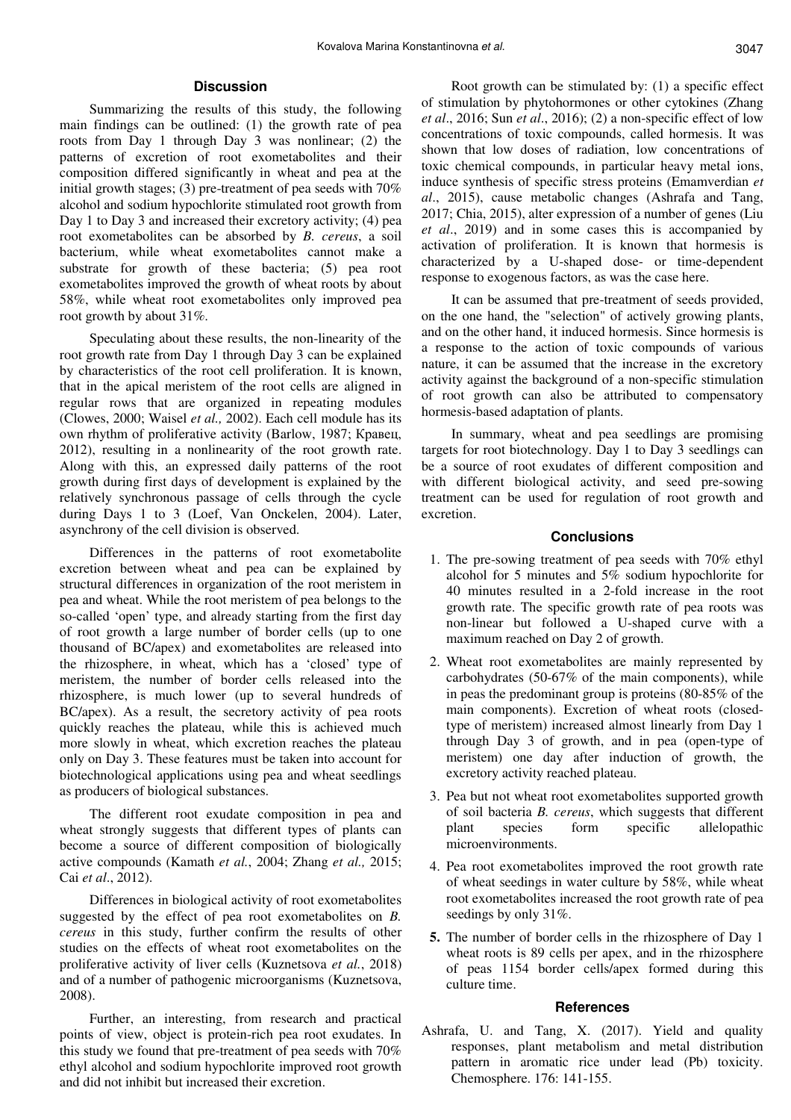## **Discussion**

Summarizing the results of this study, the following main findings can be outlined: (1) the growth rate of pea roots from Day 1 through Day 3 was nonlinear; (2) the patterns of excretion of root exometabolites and their composition differed significantly in wheat and pea at the initial growth stages; (3) pre-treatment of pea seeds with 70% alcohol and sodium hypochlorite stimulated root growth from Day 1 to Day 3 and increased their excretory activity; (4) pea root exometabolites can be absorbed by *B. cereus*, a soil bacterium, while wheat exometabolites cannot make a substrate for growth of these bacteria; (5) pea root exometabolites improved the growth of wheat roots by about 58%, while wheat root exometabolites only improved pea root growth by about 31%.

Speculating about these results, the non-linearity of the root growth rate from Day 1 through Day 3 can be explained by characteristics of the root cell proliferation. It is known, that in the apical meristem of the root cells are aligned in regular rows that are organized in repeating modules (Clowes, 2000; Waisel *et al.,* 2002). Each cell module has its own rhythm of proliferative activity (Barlow, 1987; Кравец, 2012), resulting in a nonlinearity of the root growth rate. Along with this, an expressed daily patterns of the root growth during first days of development is explained by the relatively synchronous passage of cells through the cycle during Days 1 to 3 (Loef, Van Onckelen, 2004). Later, asynchrony of the cell division is observed.

Differences in the patterns of root exometabolite excretion between wheat and pea can be explained by structural differences in organization of the root meristem in pea and wheat. While the root meristem of pea belongs to the so-called 'open' type, and already starting from the first day of root growth a large number of border cells (up to one thousand of BC/apex) and exometabolites are released into the rhizosphere, in wheat, which has a 'closed' type of meristem, the number of border cells released into the rhizosphere, is much lower (up to several hundreds of BC/apex). As a result, the secretory activity of pea roots quickly reaches the plateau, while this is achieved much more slowly in wheat, which excretion reaches the plateau only on Day 3. These features must be taken into account for biotechnological applications using pea and wheat seedlings as producers of biological substances.

The different root exudate composition in pea and wheat strongly suggests that different types of plants can become a source of different composition of biologically active compounds (Kamath *et al.*, 2004; Zhang *et al.,* 2015; Cai *et al*., 2012).

Differences in biological activity of root exometabolites suggested by the effect of pea root exometabolites on *B. cereus* in this study, further confirm the results of other studies on the effects of wheat root exometabolites on the proliferative activity of liver cells (Kuznetsova *et al.*, 2018) and of a number of pathogenic microorganisms (Kuznetsova, 2008).

Further, an interesting, from research and practical points of view, object is protein-rich pea root exudates. In this study we found that pre-treatment of pea seeds with 70% ethyl alcohol and sodium hypochlorite improved root growth and did not inhibit but increased their excretion.

Root growth can be stimulated by: (1) a specific effect of stimulation by phytohormones or other cytokines (Zhang *et al*., 2016; Sun *et al*., 2016); (2) a non-specific effect of low concentrations of toxic compounds, called hormesis. It was shown that low doses of radiation, low concentrations of toxic chemical compounds, in particular heavy metal ions, induce synthesis of specific stress proteins (Emamverdian *et al*., 2015), cause metabolic changes (Ashrafa and Tang, 2017; Chia, 2015), alter expression of a number of genes (Liu *et al*., 2019) and in some cases this is accompanied by activation of proliferation. It is known that hormesis is characterized by a U-shaped dose- or time-dependent response to exogenous factors, as was the case here.

It can be assumed that pre-treatment of seeds provided, on the one hand, the "selection" of actively growing plants, and on the other hand, it induced hormesis. Since hormesis is a response to the action of toxic compounds of various nature, it can be assumed that the increase in the excretory activity against the background of a non-specific stimulation of root growth can also be attributed to compensatory hormesis-based adaptation of plants.

In summary, wheat and pea seedlings are promising targets for root biotechnology. Day 1 to Day 3 seedlings can be a source of root exudates of different composition and with different biological activity, and seed pre-sowing treatment can be used for regulation of root growth and excretion.

#### **Conclusions**

- 1. The pre-sowing treatment of pea seeds with 70% ethyl alcohol for 5 minutes and 5% sodium hypochlorite for 40 minutes resulted in a 2-fold increase in the root growth rate. The specific growth rate of pea roots was non-linear but followed a U-shaped curve with a maximum reached on Day 2 of growth.
- 2. Wheat root exometabolites are mainly represented by carbohydrates (50-67% of the main components), while in peas the predominant group is proteins (80-85% of the main components). Excretion of wheat roots (closedtype of meristem) increased almost linearly from Day 1 through Day 3 of growth, and in pea (open-type of meristem) one day after induction of growth, the excretory activity reached plateau.
- 3. Pea but not wheat root exometabolites supported growth of soil bacteria *B. cereus*, which suggests that different plant species form specific allelopathic microenvironments.
- 4. Pea root exometabolites improved the root growth rate of wheat seedings in water culture by 58%, while wheat root exometabolites increased the root growth rate of pea seedings by only 31%.
- **5.** The number of border cells in the rhizosphere of Day 1 wheat roots is 89 cells per apex, and in the rhizosphere of peas 1154 border cells/apex formed during this culture time.

#### **References**

Ashrafa, U. and Tang, X. (2017). Yield and quality responses, plant metabolism and metal distribution pattern in aromatic rice under lead (Pb) toxicity. Chemosphere. 176: 141-155.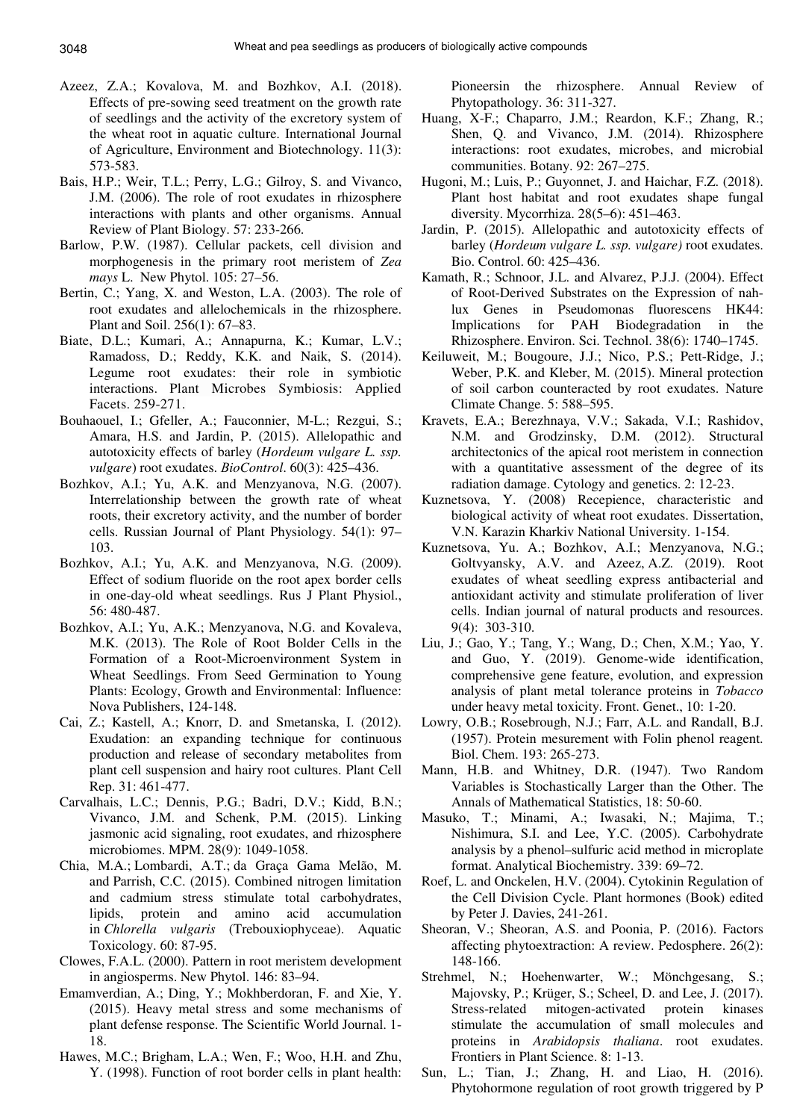- Azeez, Z.A.; Kovalova, M. and Bozhkov, A.I. (2018). Effects of pre-sowing seed treatment on the growth rate of seedlings and the activity of the excretory system of the wheat root in aquatic culture. International Journal of Agriculture, Environment and Biotechnology. 11(3): 573-583.
- Bais, H.P.; Weir, T.L.; Perry, L.G.; Gilroy, S. and Vivanco, J.M. (2006). The role of root exudates in rhizosphere interactions with plants and other organisms. Annual Review of Plant Biology. 57: 233-266.
- Barlow, P.W. (1987). Cellular packets, cell division and morphogenesis in the primary root meristem of *Zea mays* L. New Phytol. 105: 27–56.
- Bertin, C.; Yang, X. and Weston, L.A. (2003). The role of root exudates and allelochemicals in the rhizosphere. Plant and Soil. 256(1): 67–83.
- Biate, D.L.; Kumari, A.; Annapurna, K.; Kumar, L.V.; Ramadoss, D.; Reddy, K.K. and Naik, S. (2014). Legume root exudates: their role in symbiotic interactions. Plant Microbes Symbiosis: Applied Facets. 259-271.
- Bouhaouel, I.; Gfeller, A.; Fauconnier, M-L.; Rezgui, S.; Amara, H.S. and Jardin, P. (2015). Allelopathic and autotoxicity effects of barley (*Hordeum vulgare L. ssp. vulgare*) root exudates. В*ioControl*. 60(3): 425–436.
- Bozhkov, A.I.; Yu, A.K. and Menzyanova, N.G. (2007). Interrelationship between the growth rate of wheat roots, their excretory activity, and the number of border cells. Russian Journal of Plant Physiology. 54(1): 97– 103.
- Bozhkov, A.I.; Yu, A.K. and Menzyanova, N.G. (2009). Effect of sodium fluoride on the root apex border cells in one-day-old wheat seedlings. Rus J Plant Physiol., 56: 480-487.
- Bozhkov, A.I.; Yu, A.K.; Menzyanova, N.G. and Kovaleva, M.K. (2013). The Role of Root Bolder Cells in the Formation of a Root-Microenvironment System in Wheat Seedlings. From Seed Germination to Young Plants: Ecology, Growth and Environmental: Influence: Nova Publishers, 124-148.
- Cai, Z.; Kastell, A.; Knorr, D. and Smetanska, I. (2012). Exudation: an expanding technique for continuous production and release of secondary metabolites from plant cell suspension and hairy root cultures. Plant Cell Rep. 31: 461-477.
- Carvalhais, L.C.; Dennis, P.G.; Badri, D.V.; Kidd, B.N.; Vivanco, J.M. and Schenk, P.M. (2015). Linking jasmonic acid signaling, root exudates, and rhizosphere microbiomes. MPM. 28(9): 1049-1058.
- Chia, M.A.; Lombardi, A.T.; da Graça Gama Melão, M. and Parrish, C.C. (2015). Combined nitrogen limitation and cadmium stress stimulate total carbohydrates, lipids, protein and amino acid accumulation in *Chlorella vulgaris* (Trebouxiophyceae). Aquatic Toxicology. 60: 87-95.
- Clowes, F.A.L. (2000). Pattern in root meristem development in angiosperms. New Phytol. 146: 83–94.
- Emamverdian, A.; Ding, Y.; Mokhberdoran, F. and Xie, Y. (2015). Heavy metal stress and some mechanisms of plant defense response. The Scientific World Journal. 1- 18.
- Hawes, M.C.; Brigham, L.A.; Wen, F.; Woo, H.H. and Zhu, Y. (1998). Function of root border cells in plant health:

Pioneersin the rhizosphere. Annual Review of Phytopathology. 36: 311-327.

- Huang, X-F.; Chaparro, J.M.; Reardon, K.F.; Zhang, R.; Shen, Q. and Vivanco, J.M. (2014). Rhizosphere interactions: root exudates, microbes, and microbial communities. Botany. 92: 267–275.
- Hugoni, M.; Luis, P.; Guyonnet, J. and Haichar, F.Z. (2018). Plant host habitat and root exudates shape fungal diversity. Mycorrhiza. 28(5–6): 451–463.
- Jardin, P. (2015). Allelopathic and autotoxicity effects of barley (*Hordeum vulgare L. ssp. vulgare)* root exudates. Bio. Control. 60: 425–436.
- Kamath, R.; Schnoor, J.L. and Alvarez, P.J.J. (2004). Effect of Root-Derived Substrates on the Expression of nahlux Genes in Pseudomonas fluorescens HK44: Implications for PAH Biodegradation in the Rhizosphere. Environ. Sci. Technol. 38(6): 1740–1745.
- Keiluweit, M.; Bougoure, J.J.; Nico, P.S.; Pett-Ridge, J.; Weber, P.K. and Kleber, M. (2015). Mineral protection of soil carbon counteracted by root exudates. Nature Climate Change. 5: 588–595.
- Kravets, E.A.; Berezhnaya, V.V.; Sakada, V.I.; Rashidov, N.M. and Grodzinsky, D.M. (2012). Structural architectonics of the apical root meristem in connection with a quantitative assessment of the degree of its radiation damage. Cytology and genetics. 2: 12-23.
- Kuznetsova, Y. (2008) Recepience, characteristic and biological activity of wheat root exudates. Dissertation, V.N. Karazin Kharkiv National University. 1-154.
- Kuznetsova, Yu. A.; Bozhkov, A.I.; Menzyanova, N.G.; Goltvyansky, A.V. and Azeez, A.Z. (2019). Root exudates of wheat seedling express antibacterial and antioxidant activity and stimulate proliferation of liver cells. Indian journal of natural products and resources. 9(4): 303-310.
- Liu, J.; Gao, Y.; Tang, Y.; Wang, D.; Chen, X.M.; Yao, Y. and Guo, Y. (2019). Genome-wide identification, comprehensive gene feature, evolution, and expression analysis of plant metal tolerance proteins in *Tobacco* under heavy metal toxicity. Front. Genet., 10: 1-20.
- Lowry, O.B.; Rosebrough, N.J.; Farr, A.L. and Randall, B.J. (1957). Protein mesurement with Folin phenol reagent. Biol. Chem. 193: 265-273.
- Mann, H.B. and Whitney, D.R. (1947). Two Random Variables is Stochastically Larger than the Other. The Annals of Mathematical Statistics, 18: 50-60.
- Masuko, T.; Minami, A.; Iwasaki, N.; Majima, T.; Nishimura, S.I. and Lee, Y.C. (2005). Carbohydrate analysis by a phenol–sulfuric acid method in microplate format. Analytical Biochemistry. 339: 69–72.
- Roef, L. and Onckelen, H.V. (2004). Cytokinin Regulation of the Cell Division Cycle. Plant hormones (Book) edited by Peter J. Davies, 241-261.
- Sheoran, V.; Sheoran, A.S. and Poonia, P. (2016). Factors affecting phytoextraction: A review. Pedosphere. 26(2): 148-166.
- Strehmel, N.; Hoehenwarter, W.; Mönchgesang, S.; Majovsky, P.; Krüger, S.; Scheel, D. and Lee, J. (2017). Stress-related mitogen-activated protein kinases stimulate the accumulation of small molecules and proteins in *Arabidopsis thaliana*. root exudates. Frontiers in Plant Science. 8: 1-13.
- Sun, L.; Tian, J.; Zhang, H. and Liao, H. (2016). Phytohormone regulation of root growth triggered by P